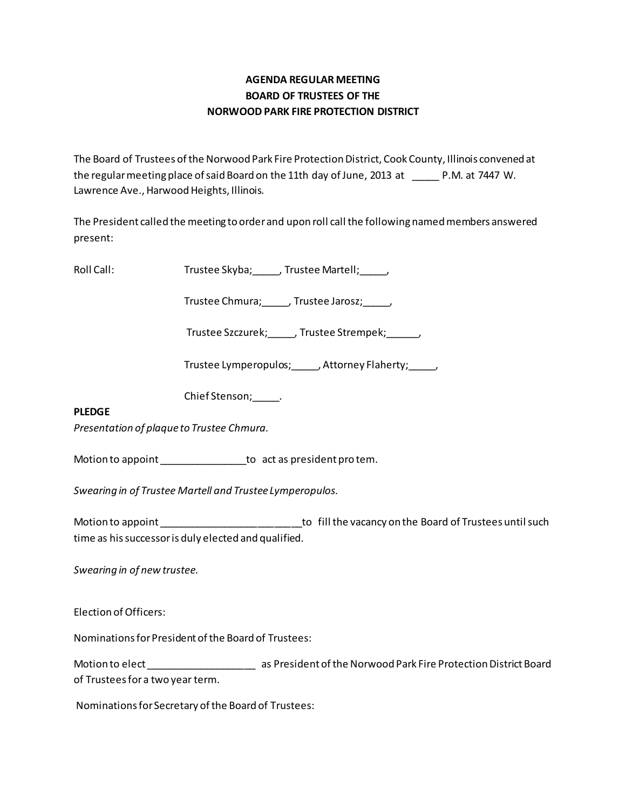# **AGENDA REGULAR MEETING BOARD OF TRUSTEES OF THE NORWOOD PARK FIRE PROTECTION DISTRICT**

The Board of Trustees of the Norwood Park Fire Protection District, Cook County, Illinois convened at the regular meeting place of said Board on the 11th day of June, 2013 at \_\_\_\_\_ P.M. at 7447 W. Lawrence Ave., Harwood Heights, Illinois.

The President called the meeting to order and upon roll call the following named members answered present:

Roll Call: Trustee Skyba; Frustee Martell; Frustee Martell;

Trustee Chmura; J. Trustee Jarosz; J.

Trustee Szczurek; J. Trustee Strempek; J.

Trustee Lymperopulos;\_\_\_\_\_, Attorney Flaherty;\_\_\_\_\_,

Chief Stenson; Fig.

## **PLEDGE**

*Presentation of plaque to Trustee Chmura.* 

Motion to appoint \_\_\_\_\_\_\_\_\_\_\_\_\_\_\_\_\_\_\_to act as president pro tem.

*Swearing in of Trustee Martell and Trustee Lymperopulos.* 

Motion to appoint \_\_\_\_\_\_\_\_\_\_\_\_\_\_\_\_\_\_\_\_\_\_\_\_\_\_\_\_\_\_\_\_\_\_to fill the vacancy on the Board of Trustees until such time as his successor is duly elected and qualified.

*Swearing in of new trustee.*

Election of Officers:

Nominations for President of the Board of Trustees:

Motion to elect \_\_\_\_\_\_\_\_\_\_\_\_\_\_\_\_\_\_\_\_\_\_\_\_\_\_\_\_\_\_\_\_\_ as President of the Norwood Park Fire Protection District Board of Trustees for a two year term.

Nominations for Secretary of the Board of Trustees: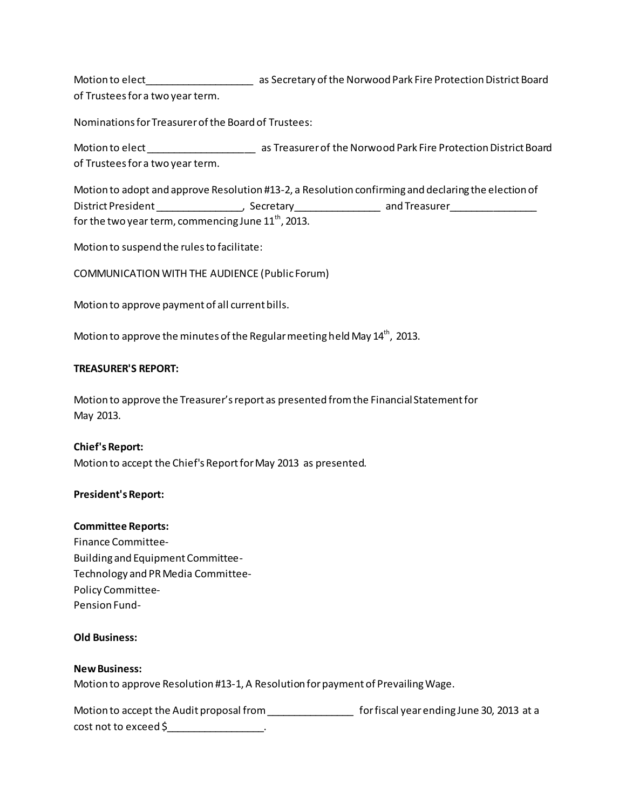Motion to elect\_\_\_\_\_\_\_\_\_\_\_\_\_\_\_\_\_\_\_\_ as Secretary of the Norwood Park Fire Protection District Board of Trustees for a two year term.

Nominations for Treasurer of the Board of Trustees:

Motion to elect \_\_\_\_\_\_\_\_\_\_\_\_\_\_\_\_\_\_\_\_\_\_\_\_\_\_\_\_\_\_\_\_ as Treasurer of the Norwood Park Fire Protection District Board of Trustees for a two year term.

Motion to adopt and approve Resolution #13-2, a Resolution confirming and declaring the election of District President \_\_\_\_\_\_\_\_\_\_\_\_\_\_\_\_\_\_, Secretary \_\_\_\_\_\_\_\_\_\_\_\_\_\_\_\_\_\_\_ and Treasurer \_\_\_\_\_\_\_\_\_\_\_\_\_\_\_\_ for the two year term, commencing June  $11<sup>th</sup>$ , 2013.

Motion to suspend the rules to facilitate:

COMMUNICATION WITH THE AUDIENCE (Public Forum)

Motion to approve payment of all current bills.

Motion to approve the minutes of the Regular meeting held May  $14^{th}$ , 2013.

### **TREASURER'S REPORT:**

Motion to approve the Treasurer's report as presented from the Financial Statement for May 2013.

**Chief's Report:** Motion to accept the Chief's Report for May 2013 as presented.

### **President's Report:**

#### **Committee Reports:**

Finance Committee-Building and Equipment Committee-Technology and PR Media Committee-Policy Committee-Pension Fund-

### **Old Business:**

### **New Business:**

Motion to approve Resolution #13-1, A Resolution for payment of Prevailing Wage.

Motion to accept the Audit proposal from \_\_\_\_\_\_\_\_\_\_\_\_\_\_\_\_\_\_\_\_\_\_\_\_\_ for fiscal year ending June 30, 2013 at a cost not to exceed \$\_\_\_\_\_\_\_\_\_\_\_\_\_\_\_\_\_\_.